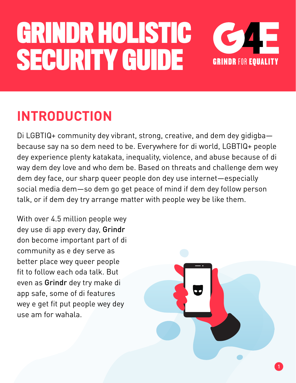

### **INTRODUCTION**

Di LGBTIQ+ community dey vibrant, strong, creative, and dem dey gidigba because say na so dem need to be. Everywhere for di world, LGBTIQ+ people dey experience plenty katakata, inequality, violence, and abuse because of di way dem dey love and who dem be. Based on threats and challenge dem wey dem dey face, our sharp queer people don dey use internet—especially social media dem—so dem go get peace of mind if dem dey follow person talk, or if dem dey try arrange matter with people wey be like them.

dey use di app every day, **Grindr** has become a vital become a vital become a vital become a vital become a vita don become important part of di unique people as a unique people people people people people people people peo better place wey queer people wey e get fit put people wey dey with critical safety with critical safety  $\mathbb{R}^n$ use am for wahala. We have determined to ensure a safe dating experience. With over 4.5 million people wey fit to follow each oda talk. But

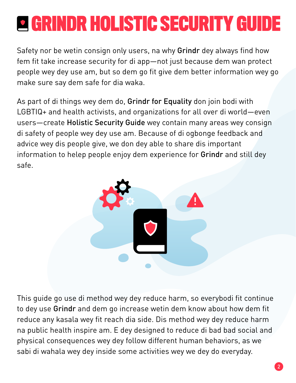Safety nor be wetin consign only users, na why Grindr dey always find how fem fit take increase security for di app—not just because dem wan protect people wey dey use am, but so dem go fit give dem better information wey go make sure say dem safe for dia waka.

As part of di things wey dem do, Grindr for Equality don join bodi with LGBTIQ+ and health activists, and organizations for all over di world—even users—create Holistic Security Guide wey contain many areas wey consign di safety of people wey dey use am. Because of di ogbonge feedback and advice wey dis people give, we don dey able to share dis important information to helep people enjoy dem experience for Grindr and still dey safe.



This guide go use di method wey dey reduce harm, so everybodi fit continue to dey use Grindr and dem go increase wetin dem know about how dem fit reduce any kasala wey fit reach dia side. Dis method wey dey reduce harm na public health inspire am. E dey designed to reduce di bad bad social and physical consequences wey dey follow different human behaviors, as we sabi di wahala wey dey inside some activities wey we dey do everyday.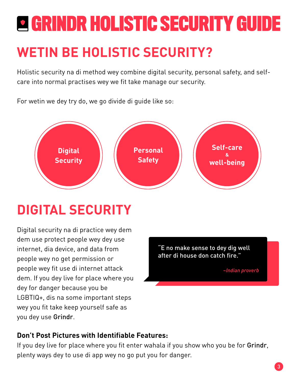### **WETIN BE HOLISTIC SECURITY?**

Holistic security na di method wey combine digital security, personal safety, and selfcare into normal practises wey we fit take manage our security.

For wetin we dey try do, we go divide di guide like so:



### **DIGITAL SECURITY**

Digital security na di practice wey dem dem use protect people wey dey use internet, dia device, and data from people wey no get permission or people wey fit use di internet attack dem. If you dey live for place where you dey for danger because you be LGBTIQ+, dis na some important steps wey you fit take keep yourself safe as you dey use Grindr.

"E no make sense to dey dig well after di house don catch fire."

*~Indian proverb*

#### **Don't Post Pictures with Identifiable Features:**

If you dey live for place where you fit enter wahala if you show who you be for Grindr, plenty ways dey to use di app wey no go put you for danger.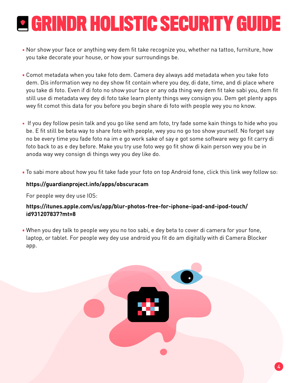- Nor show your face or anything wey dem fit take recognize you, whether na tattoo, furniture, how you take decorate your house, or how your surroundings be.
- Comot metadata when you take foto dem. Camera dey always add metadata when you take foto dem. Dis information wey no dey show fit contain where you dey, di date, time, and di place where you take di foto. Even if di foto no show your face or any oda thing wey dem fit take sabi you, dem fit still use di metadata wey dey di foto take learn plenty things wey consign you. Dem get plenty apps wey fit comot this data for you before you begin share di foto with people wey you no know.
- If you dey follow pesin talk and you go like send am foto, try fade some kain things to hide who you be. E fit still be beta way to share foto with people, wey you no go too show yourself. No forget say no be every time you fade foto na im e go work sake of say e got some software wey go fit carry di foto back to as e dey before. Make you try use foto wey go fit show di kain person wey you be in anoda way wey consign di things wey you dey like do.
- To sabi more about how you fit take fade your foto on top Android fone, click this link wey follow so:

#### **https://guardianproject.info/apps/obscuracam**

For people wey dey use IOS:

#### **https://itunes.apple.com/us/app/blur-photos-free-for-iphone-ipad-and-ipod-touch/ id931207837?mt=8**

When you dey talk to people wey you no too sabi, e dey beta to cover di camera for your fone, laptop, or tablet. For people wey dey use android you fit do am digitally with di Camera Blocker app.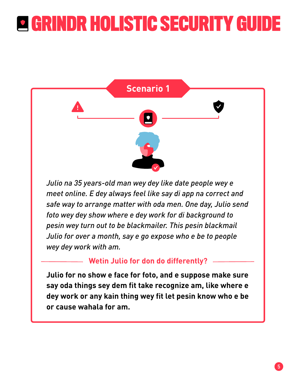

*Julio na 35 years-old man wey dey like date people wey e meet online. E dey always feel like say di app na correct and safe way to arrange matter with oda men. One day, Julio send foto wey dey show where e dey work for di background to pesin wey turn out to be blackmailer. This pesin blackmail Julio for over a month, say e go expose who e be to people wey dey work with am.*

#### **Wetin Julio for don do differently?**

**Julio for no show e face for foto, and e suppose make sure say oda things sey dem fit take recognize am, like where e dey work or any kain thing wey fit let pesin know who e be or cause wahala for am.**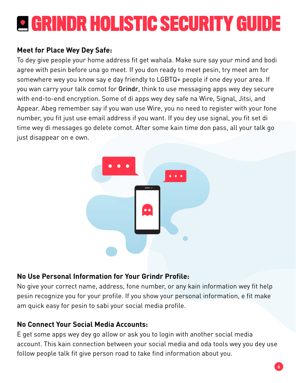#### **Meet for Place Wey Dey Safe:**

To dey give people your home address fit get wahala. Make sure say your mind and bodi agree with pesin before una go meet. If you don ready to meet pesin, try meet am for somewhere wey you know say e day friendly to LGBTQ+ people if one dey your area. If you wan carry your talk comot for Grindr, think to use messaging apps wey dey secure with end-to-end encryption. Some of di apps wey dey safe na Wire, Signal, Jitsi, and Appear. Abeg remember say if you wan use Wire, you no need to register with your fone number, you fit just use email address if you want. If you dey use signal, you fit set di time wey di messages go delete comot. After some kain time don pass, all your talk go just disappear on e own.



#### **No Use Personal Information for Your Grindr Profile:**

No give your correct name, address, fone number, or any kain information wey fit help pesin recognize you for your profile. If you show your personal information, e fit make am quick easy for pesin to sabi your social media profile.

#### **No Connect Your Social Media Accounts:**

E get some apps wey dey go allow or ask you to login with another social media account. This kain connection between your social media and oda tools wey you dey use follow people talk fit give person road to take find information about you.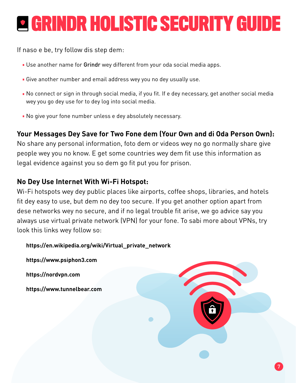If naso e be, try follow dis step dem:

- Use another name for Grindr wey different from your oda social media apps.
- Give another number and email address wey you no dey usually use.
- No connect or sign in through social media, if you fit. If e dey necessary, get another social media wey you go dey use for to dey log into social media.
- No give your fone number unless e dey absolutely necessary.

#### **Your Messages Dey Save for Two Fone dem (Your Own and di Oda Person Own):**

No share any personal information, foto dem or videos wey no go normally share give people wey you no know. E get some countries wey dem fit use this information as legal evidence against you so dem go fit put you for prison.

#### **No Dey Use Internet With Wi-Fi Hotspot:**

Wi-Fi hotspots wey dey public places like airports, coffee shops, libraries, and hotels fit dey easy to use, but dem no dey too secure. If you get another option apart from dese networks wey no secure, and if no legal trouble fit arise, we go advice say you always use virtual private network (VPN) for your fone. To sabi more about VPNs, try look this links wey follow so:

**https://en.wikipedia.org/wiki/Virtual\_private\_network**

**https://www.psiphon3.com https://nordvpn.com https://www.tunnelbear.com**

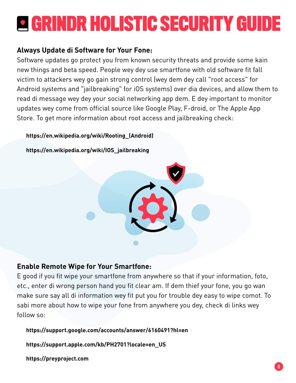#### **Always Update di Software for Your Fone:**

Software updates go protect you from known security threats and provide some kain new things and beta speed. People wey dey use smartfone with old software fit fall victim to attackers wey go gain strong control (wey dem dey call "root access" for Android systems and "jailbreaking" for iOS systems) over dia devices, and allow them to read di message wey dey your social networking app dem. E dey important to monitor updates wey come from official source like Google Play, F-droid, or The Apple App Store. To get more information about root access and jailbreaking check:

#### **https://en.wikipedia.org/wiki/Rooting\_(Android)**

**https://en.wikipedia.org/wiki/IOS\_jailbreaking**



#### **Enable Remote Wipe for Your Smartfone:**

E good if you fit wipe your smartfone from anywhere so that if your information, foto, etc., enter di wrong person hand you fit clear am. If dem thief your fone, you go wan make sure say all di information wey fit put you for trouble dey easy to wipe comot. To sabi more about how to wipe your fone from anywhere you dey, check di links wey follow so:

**https://support.google.com/accounts/answer/6160491?hl=en**

**https://support.apple.com/kb/PH2701?locale=en\_US**

**https://preyproject.com**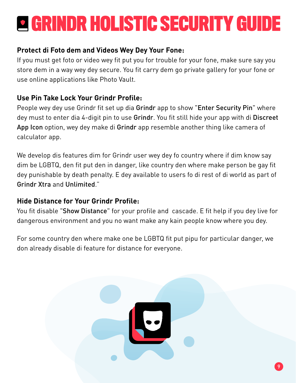#### **Protect di Foto dem and Videos Wey Dey Your Fone:**

If you must get foto or video wey fit put you for trouble for your fone, make sure say you store dem in a way wey dey secure. You fit carry dem go private gallery for your fone or use online applications like Photo Vault.

#### **Use Pin Take Lock Your Grindr Profile:**

People wey dey use Grindr fit set up dia Grindr app to show "Enter Security Pin" where dey must to enter dia 4-digit pin to use Grindr. You fit still hide your app with di Discreet App Icon option, wey dey make di Grindr app resemble another thing like camera of calculator app.

We develop dis features dim for Grindr user wey dey fo country where if dim know say dim be LGBTQ, den fit put den in danger, like country den where make person be gay fit dey punishable by death penalty. E dey available to users fo di rest of di world as part of Grindr Xtra and Unlimited."

#### **Hide Distance for Your Grindr Profile:**

You fit disable "Show Distance" for your profile and cascade. E fit help if you dey live for dangerous environment and you no want make any kain people know where you dey.

For some country den where make one be LGBTQ fit put pipu for particular danger, we don already disable di feature for distance for everyone.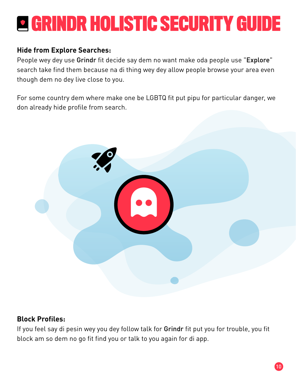#### **Hide from Explore Searches:**

People wey dey use Grindr fit decide say dem no want make oda people use "Explore" search take find them because na di thing wey dey allow people browse your area even though dem no dey live close to you.

For some country dem where make one be LGBTQ fit put pipu for particular danger, we don already hide profile from search.



#### **Block Profiles:**

If you feel say di pesin wey you dey follow talk for Grindr fit put you for trouble, you fit block am so dem no go fit find you or talk to you again for di app.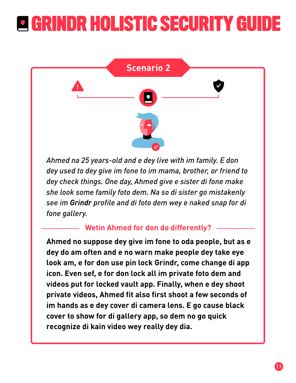

*Ahmed na 25 years-old and e dey live with im family. E don dey used to dey give im fone to im mama, brother, or friend to dey check things. One day, Ahmed give e sister di fone make she look some family foto dem. Na so di sister go mistakenly see im Grindr profile and di foto dem wey e naked snap for di fone gallery.*

#### **Wetin Ahmed for don do differently?**

**Ahmed no suppose dey give im fone to oda people, but as e dey do am often and e no warn make people dey take eye look am, e for don use pin lock Grindr, come change di app icon. Even sef, e for don lock all im private foto dem and videos put for locked vault app. Finally, when e dey shoot private videos, Ahmed fit also first shoot a few seconds of im hands as e dey cover di camera lens. E go cause black cover to show for di gallery app, so dem no go quick recognize di kain video wey really dey dia.**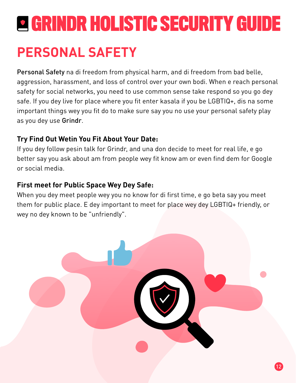### **PERSONAL SAFETY**

Personal Safety na di freedom from physical harm, and di freedom from bad belle, aggression, harassment, and loss of control over your own bodi. When e reach personal safety for social networks, you need to use common sense take respond so you go dey safe. If you dey live for place where you fit enter kasala if you be LGBTIQ+, dis na some important things wey you fit do to make sure say you no use your personal safety play as you dey use Grindr.

#### **Try Find Out Wetin You Fit About Your Date:**

If you dey follow pesin talk for Grindr, and una don decide to meet for real life, e go better say you ask about am from people wey fit know am or even find dem for Google or social media.

#### **First meet for Public Space Wey Dey Safe:**

When you dey meet people wey you no know for di first time, e go beta say you meet them for public place. E dey important to meet for place wey dey LGBTIQ+ friendly, or wey no dey known to be "unfriendly".

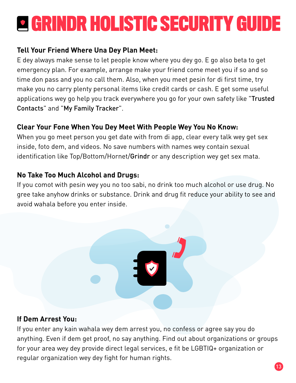#### **Tell Your Friend Where Una Dey Plan Meet:**

E dey always make sense to let people know where you dey go. E go also beta to get emergency plan. For example, arrange make your friend come meet you if so and so time don pass and you no call them. Also, when you meet pesin for di first time, try make you no carry plenty personal items like credit cards or cash. E get some useful applications wey go help you track everywhere you go for your own safety like "Trusted Contacts" and "My Family Tracker".

#### **Clear Your Fone When You Dey Meet With People Wey You No Know:**

When you go meet person you get date with from di app, clear every talk wey get sex inside, foto dem, and videos. No save numbers with names wey contain sexual identification like Top/Bottom/Hornet/Grindr or any description wey get sex mata.

#### **No Take Too Much Alcohol and Drugs:**

If you comot with pesin wey you no too sabi, no drink too much alcohol or use drug. No gree take anyhow drinks or substance. Drink and drug fit reduce your ability to see and avoid wahala before you enter inside.



#### **If Dem Arrest You:**

If you enter any kain wahala wey dem arrest you, no confess or agree say you do anything. Even if dem get proof, no say anything. Find out about organizations or groups for your area wey dey provide direct legal services, e fit be LGBTIQ+ organization or regular organization wey dey fight for human rights.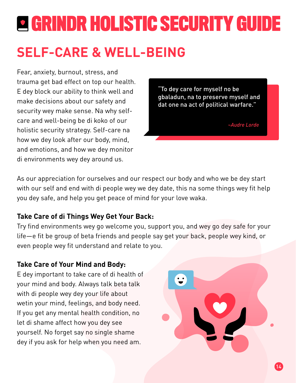### **SELF-CARE & WELL-BEING**

Fear, anxiety, burnout, stress, and trauma get bad effect on top our health. E dey block our ability to think well and make decisions about our safety and security wey make sense. Na why selfcare and well-being be di koko of our holistic security strategy. Self-care na how we dey look after our body, mind, and emotions, and how we dey monitor di environments wey dey around us.

"To dey care for myself no be gbaladun, na to preserve myself and dat one na act of political warfare."

*~Audre Lorde*

As our appreciation for ourselves and our respect our body and who we be dey start with our self and end with di people wey we dey date, this na some things wey fit help you dey safe, and help you get peace of mind for your love waka.

#### **Take Care of di Things Wey Get Your Back:**

Try find environments wey go welcome you, support you, and wey go dey safe for your life—e fit be group of beta friends and people say get your back, people wey kind, or even people wey fit understand and relate to you.

#### **Take Care of Your Mind and Body:**

E dey important to take care of di health of your mind and body. Always talk beta talk with di people wey dey your life about wetin your mind, feelings, and body need. If you get any mental health condition, no let di shame affect how you dey see yourself. No forget say no single shame dey if you ask for help when you need am.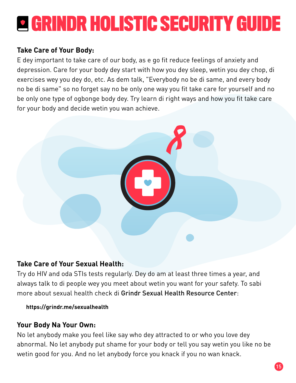#### **Take Care of Your Body:**

E dey important to take care of our body, as e go fit reduce feelings of anxiety and depression. Care for your body dey start with how you dey sleep, wetin you dey chop, di exercises wey you dey do, etc. As dem talk, "Everybody no be di same, and every body no be di same" so no forget say no be only one way you fit take care for yourself and no be only one type of ogbonge body dey. Try learn di right ways and how you fit take care for your body and decide wetin you wan achieve.



#### **Take Care of Your Sexual Health:**

Try do HIV and oda STIs tests regularly. Dey do am at least three times a year, and always talk to di people wey you meet about wetin you want for your safety. To sabi more about sexual health check di Grindr Sexual Health Resource Center:

#### **https://grindr.me/sexualhealth**

#### **Your Body Na Your Own:**

No let anybody make you feel like say who dey attracted to or who you love dey abnormal. No let anybody put shame for your body or tell you say wetin you like no be wetin good for you. And no let anybody force you knack if you no wan knack.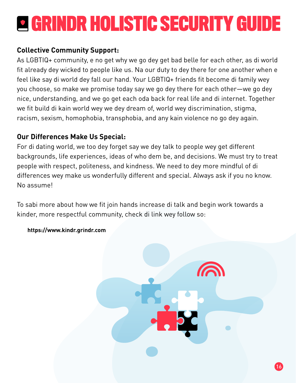#### **Collective Community Support:**

As LGBTIQ+ community, e no get why we go dey get bad belle for each other, as di world fit already dey wicked to people like us. Na our duty to dey there for one another when e feel like say di world dey fall our hand. Your LGBTIQ+ friends fit become di family wey you choose, so make we promise today say we go dey there for each other—we go dey nice, understanding, and we go get each oda back for real life and di internet. Together we fit build di kain world wey we dey dream of, world wey discrimination, stigma, racism, sexism, homophobia, transphobia, and any kain violence no go dey again.

#### **Our Differences Make Us Special:**

For di dating world, we too dey forget say we dey talk to people wey get different backgrounds, life experiences, ideas of who dem be, and decisions. We must try to treat people with respect, politeness, and kindness. We need to dey more mindful of di differences wey make us wonderfully different and special. Always ask if you no know. No assume!

To sabi more about how we fit join hands increase di talk and begin work towards a kinder, more respectful community, check di link wey follow so:



 **https://www.kindr.grindr.com**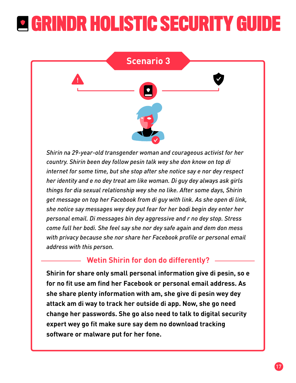

*Shirin na 29-year-old transgender woman and courageous activist for her country. Shirin been dey follow pesin talk wey she don know on top di internet for some time, but she stop after she notice say e nor dey respect her identity and e no dey treat am like woman. Di guy dey always ask girls things for dia sexual relationship wey she no like. After some days, Shirin get message on top her Facebook from di guy with link. As she open di link, she notice say messages wey dey put fear for her bodi begin dey enter her personal email. Di messages bin dey aggressive and r no dey stop. Stress come full her bodi. She feel say she nor dey safe again and dem don mess with privacy because she nor share her Facebook profile or personal email address with this person.*

#### **Wetin Shirin for don do differently?**

**Shirin for share only small personal information give di pesin, so e for no fit use am find her Facebook or personal email address. As she share plenty information with am, she give di pesin wey dey attack am di way to track her outside di app. Now, she go need change her passwords. She go also need to talk to digital security expert wey go fit make sure say dem no download tracking software or malware put for her fone.**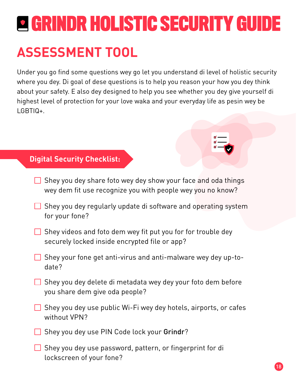### **ASSESSMENT TOOL**

Under you go find some questions wey go let you understand di level of holistic security where you dey. Di goal of dese questions is to help you reason your how you dey think about your safety. E also dey designed to help you see whether you dey give yourself di highest level of protection for your love waka and your everyday life as pesin wey be LGBTIQ+.

#### **Digital Security Checklist:**

- $\Box$  Shey you dey share foto wey dey show your face and oda things wey dem fit use recognize you with people wey you no know?
- $\Box$  Shey you dey regularly update di software and operating system for your fone?
- $\Box$  Shey videos and foto dem wey fit put you for for trouble dey securely locked inside encrypted file or app?
- $\Box$  Shey your fone get anti-virus and anti-malware wey dey up-todate?
- $\Box$  Shey you dey delete di metadata wey dey your foto dem before you share dem give oda people?
- $\Box$  Shey you dey use public Wi-Fi wey dey hotels, airports, or cafes without VPN?
- □ Shey you dey use PIN Code lock your Grindr?
- $\Box$  Shey you dey use password, pattern, or fingerprint for di lockscreen of your fone?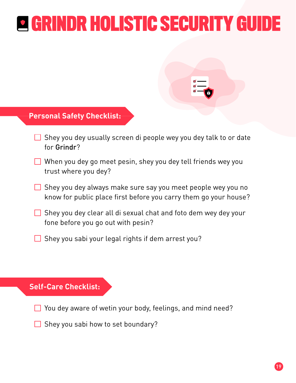#### **Personal Safety Checklist:**

- $\Box$  Shey you dey usually screen di people wey you dey talk to or date for Grindr?
- $\Box$  When you dey go meet pesin, shey you dey tell friends wey you trust where you dey?
- $\Box$  Shey you dey always make sure say you meet people wey you no know for public place first before you carry them go your house?
- $\Box$  Shey you dey clear all di sexual chat and foto dem wey dey your fone before you go out with pesin?
- $\Box$  Shey you sabi your legal rights if dem arrest you?

#### **Self-Care Checklist:**

You dey aware of wetin your body, feelings, and mind need?

 $\Box$  Shey you sabi how to set boundary?